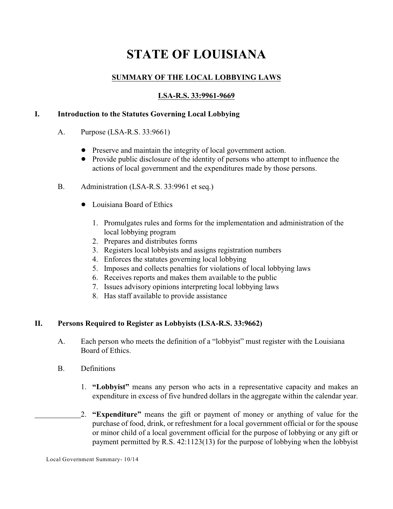# **STATE OF LOUISIANA**

# **SUMMARY OF THE LOCAL LOBBYING LAWS**

## **LSA-R.S. 33:9961-9669**

#### **I. Introduction to the Statutes Governing Local Lobbying**

- A. Purpose (LSA-R.S. 33:9661)
	- Preserve and maintain the integrity of local government action.
	- ! Provide public disclosure of the identity of persons who attempt to influence the actions of local government and the expenditures made by those persons.
- B. Administration (LSA-R.S. 33:9961 et seq.)
	- Louisiana Board of Ethics
		- 1. Promulgates rules and forms for the implementation and administration of the local lobbying program
		- 2. Prepares and distributes forms
		- 3. Registers local lobbyists and assigns registration numbers
		- 4. Enforces the statutes governing local lobbying
		- 5. Imposes and collects penalties for violations of local lobbying laws
		- 6. Receives reports and makes them available to the public
		- 7. Issues advisory opinions interpreting local lobbying laws
		- 8. Has staff available to provide assistance

#### **II. Persons Required to Register as Lobbyists (LSA-R.S. 33:9662)**

- A. Each person who meets the definition of a "lobbyist" must register with the Louisiana Board of Ethics.
- B. Definitions
	- 1. **"Lobbyist"** means any person who acts in a representative capacity and makes an expenditure in excess of five hundred dollars in the aggregate within the calendar year.
	- 2. **"Expenditure"** means the gift or payment of money or anything of value for the purchase of food, drink, or refreshment for a local government official or for the spouse or minor child of a local government official for the purpose of lobbying or any gift or payment permitted by R.S. 42:1123(13) for the purpose of lobbying when the lobbyist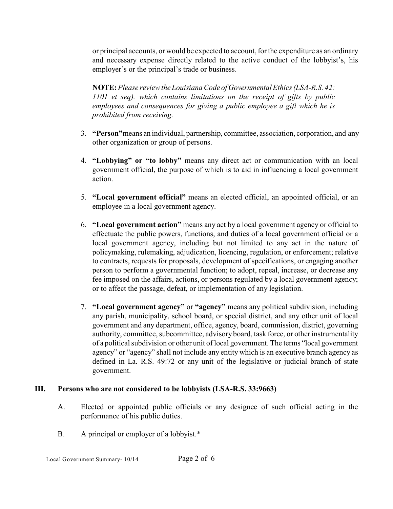or principal accounts, or would be expected to account, for the expenditure as an ordinary and necessary expense directly related to the active conduct of the lobbyist's, his employer's or the principal's trade or business.

**NOTE:***Please review the Louisiana Code of Governmental Ethics (LSA-R.S. 42: 1101 et seq). which contains limitations on the receipt of gifts by public employees and consequences for giving a public employee a gift which he is prohibited from receiving.*

- 3. **"Person"**means an individual, partnership, committee, association, corporation, and any other organization or group of persons.
- 4. **"Lobbying" or "to lobby"** means any direct act or communication with an local government official, the purpose of which is to aid in influencing a local government action.
- 5. **"Local government official"** means an elected official, an appointed official, or an employee in a local government agency.
- 6. **"Local government action"** means any act by a local government agency or official to effectuate the public powers, functions, and duties of a local government official or a local government agency, including but not limited to any act in the nature of policymaking, rulemaking, adjudication, licencing, regulation, or enforcement; relative to contracts, requests for proposals, development of specifications, or engaging another person to perform a governmental function; to adopt, repeal, increase, or decrease any fee imposed on the affairs, actions, or persons regulated by a local government agency; or to affect the passage, defeat, or implementation of any legislation.
- 7. **"Local government agency"** or **"agency"** means any political subdivision, including any parish, municipality, school board, or special district, and any other unit of local government and any department, office, agency, board, commission, district, governing authority, committee, subcommittee, advisory board, task force, or other instrumentality of a political subdivision or other unit of local government. The terms "local government agency" or "agency" shall not include any entity which is an executive branch agency as defined in La. R.S. 49:72 or any unit of the legislative or judicial branch of state government.

#### **III. Persons who are not considered to be lobbyists (LSA-R.S. 33:9663)**

- A. Elected or appointed public officials or any designee of such official acting in the performance of his public duties.
- B. A principal or employer of a lobbyist.\*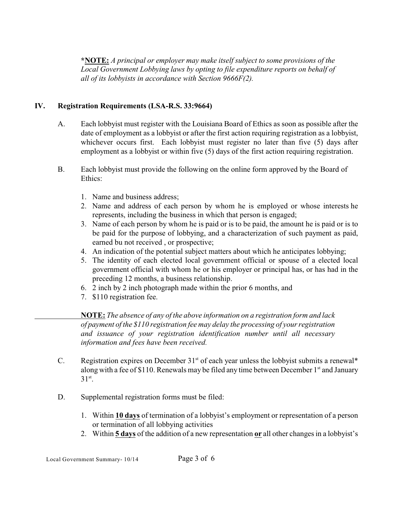**\*NOTE:** *A principal or employer may make itself subject to some provisions of the Local Government Lobbying laws by opting to file expenditure reports on behalf of all of its lobbyists in accordance with Section 9666F(2).*

# **IV. Registration Requirements (LSA-R.S. 33:9664)**

- A. Each lobbyist must register with the Louisiana Board of Ethics as soon as possible after the date of employment as a lobbyist or after the first action requiring registration as a lobbyist, whichever occurs first. Each lobbyist must register no later than five (5) days after employment as a lobbyist or within five (5) days of the first action requiring registration.
- B. Each lobbyist must provide the following on the online form approved by the Board of Ethics:
	- 1. Name and business address;
	- 2. Name and address of each person by whom he is employed or whose interests he represents, including the business in which that person is engaged;
	- 3. Name of each person by whom he is paid or is to be paid, the amount he is paid or is to be paid for the purpose of lobbying, and a characterization of such payment as paid, earned bu not received , or prospective;
	- 4. An indication of the potential subject matters about which he anticipates lobbying;
	- 5. The identity of each elected local government official or spouse of a elected local government official with whom he or his employer or principal has, or has had in the preceding 12 months, a business relationship.
	- 6. 2 inch by 2 inch photograph made within the prior 6 months, and
	- 7. \$110 registration fee.

**NOTE:** *The absence of any of the above information on a registration form and lack of payment of the \$110 registration fee may delay the processing of your registration and issuance of your registration identification number until all necessary information and fees have been received.*

- C. Registration expires on December  $31<sup>st</sup>$  of each year unless the lobbyist submits a renewal\* along with a fee of \$110. Renewals may be filed any time between December 1<sup>st</sup> and January  $31^\text{st}$ .
- D. Supplemental registration forms must be filed:
	- 1. Within **10 days** of termination of a lobbyist's employment or representation of a person or termination of all lobbying activities
	- 2. Within **5 days** of the addition of a new representation **or** all other changes in a lobbyist's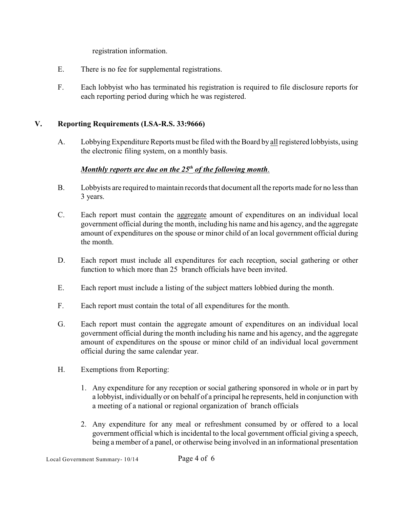registration information.

- E. There is no fee for supplemental registrations.
- F. Each lobbyist who has terminated his registration is required to file disclosure reports for each reporting period during which he was registered.

## **V. Reporting Requirements (LSA-R.S. 33:9666)**

A. Lobbying Expenditure Reports must be filed with the Board by all registered lobbyists, using the electronic filing system, on a monthly basis.

## *Monthly reports are due on the 25<sup>th</sup> of the following month.*

- B. Lobbyists are required to maintain records that document all the reports made for no less than 3 years.
- C. Each report must contain the aggregate amount of expenditures on an individual local government official during the month, including his name and his agency, and the aggregate amount of expenditures on the spouse or minor child of an local government official during the month.
- D. Each report must include all expenditures for each reception, social gathering or other function to which more than 25 branch officials have been invited.
- E. Each report must include a listing of the subject matters lobbied during the month.
- F. Each report must contain the total of all expenditures for the month.
- G. Each report must contain the aggregate amount of expenditures on an individual local government official during the month including his name and his agency, and the aggregate amount of expenditures on the spouse or minor child of an individual local government official during the same calendar year.
- H. Exemptions from Reporting:
	- 1. Any expenditure for any reception or social gathering sponsored in whole or in part by a lobbyist, individually or on behalf of a principal he represents, held in conjunction with a meeting of a national or regional organization of branch officials
	- 2. Any expenditure for any meal or refreshment consumed by or offered to a local government official which is incidental to the local government official giving a speech, being a member of a panel, or otherwise being involved in an informational presentation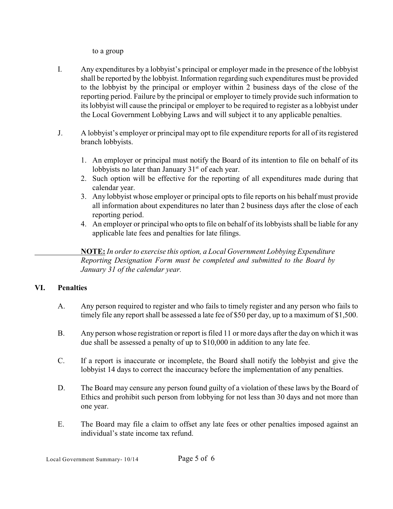to a group

- I. Any expenditures by a lobbyist's principal or employer made in the presence of the lobbyist shall be reported by the lobbyist. Information regarding such expenditures must be provided to the lobbyist by the principal or employer within 2 business days of the close of the reporting period. Failure by the principal or employer to timely provide such information to its lobbyist will cause the principal or employer to be required to register as a lobbyist under the Local Government Lobbying Laws and will subject it to any applicable penalties.
- J. A lobbyist's employer or principal may opt to file expenditure reports for all of its registered branch lobbyists.
	- 1. An employer or principal must notify the Board of its intention to file on behalf of its lobbyists no later than January  $31<sup>st</sup>$  of each year.
	- 2. Such option will be effective for the reporting of all expenditures made during that calendar year.
	- 3. Any lobbyist whose employer or principal opts to file reports on his behalf must provide all information about expenditures no later than 2 business days after the close of each reporting period.
	- 4. An employer or principal who opts to file on behalf of its lobbyists shall be liable for any applicable late fees and penalties for late filings.

**NOTE:** *In order to exercise this option, a Local Government Lobbying Expenditure Reporting Designation Form must be completed and submitted to the Board by January 31 of the calendar year.*

# **VI. Penalties**

- A. Any person required to register and who fails to timely register and any person who fails to timely file any report shall be assessed a late fee of \$50 per day, up to a maximum of \$1,500.
- B. Any person whose registration or report is filed 11 or more days after the day on which it was due shall be assessed a penalty of up to \$10,000 in addition to any late fee.
- C. If a report is inaccurate or incomplete, the Board shall notify the lobbyist and give the lobbyist 14 days to correct the inaccuracy before the implementation of any penalties.
- D. The Board may censure any person found guilty of a violation of these laws by the Board of Ethics and prohibit such person from lobbying for not less than 30 days and not more than one year.
- E. The Board may file a claim to offset any late fees or other penalties imposed against an individual's state income tax refund.